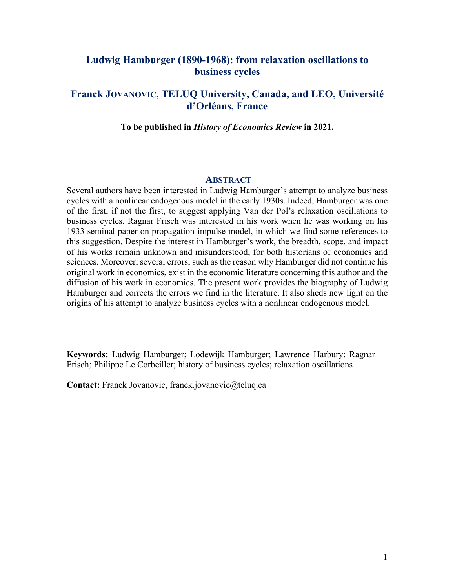# **Ludwig Hamburger (1890-1968): from relaxation oscillations to business cycles**

# **Franck JOVANOVIC, TELUQ University, Canada, and LEO, Université d'Orléans, France**

**To be published in** *History of Economics Review* **in 2021.**

## **ABSTRACT**

Several authors have been interested in Ludwig Hamburger's attempt to analyze business cycles with a nonlinear endogenous model in the early 1930s. Indeed, Hamburger was one of the first, if not the first, to suggest applying Van der Pol's relaxation oscillations to business cycles. Ragnar Frisch was interested in his work when he was working on his 1933 seminal paper on propagation-impulse model, in which we find some references to this suggestion. Despite the interest in Hamburger's work, the breadth, scope, and impact of his works remain unknown and misunderstood, for both historians of economics and sciences. Moreover, several errors, such as the reason why Hamburger did not continue his original work in economics, exist in the economic literature concerning this author and the diffusion of his work in economics. The present work provides the biography of Ludwig Hamburger and corrects the errors we find in the literature. It also sheds new light on the origins of his attempt to analyze business cycles with a nonlinear endogenous model.

**Keywords:** Ludwig Hamburger; Lodewijk Hamburger; Lawrence Harbury; Ragnar Frisch; Philippe Le Corbeiller; history of business cycles; relaxation oscillations

**Contact:** Franck Jovanovic, franck.jovanovic@teluq.ca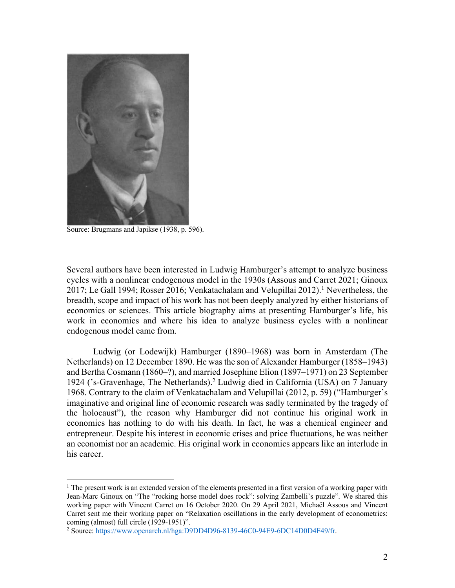

Source: Brugmans and Japikse (1938, p. 596).

Several authors have been interested in Ludwig Hamburger's attempt to analyze business cycles with a nonlinear endogenous model in the 1930s (Assous and Carret 2021; Ginoux 2017; Le Gall 1994; Rosser 2016; Venkatachalam and Velupillai 2012). <sup>1</sup> Nevertheless, the breadth, scope and impact of his work has not been deeply analyzed by either historians of economics or sciences. This article biography aims at presenting Hamburger's life, his work in economics and where his idea to analyze business cycles with a nonlinear endogenous model came from.

Ludwig (or Lodewijk) Hamburger (1890–1968) was born in Amsterdam (The Netherlands) on 12 December 1890. He was the son of Alexander Hamburger (1858–1943) and Bertha Cosmann (1860–?), and married Josephine Elion (1897–1971) on 23 September 1924 ('s-Gravenhage, The Netherlands).2 Ludwig died in California (USA) on 7 January 1968. Contrary to the claim of Venkatachalam and Velupillai (2012, p. 59) ("Hamburger's imaginative and original line of economic research was sadly terminated by the tragedy of the holocaust"), the reason why Hamburger did not continue his original work in economics has nothing to do with his death. In fact, he was a chemical engineer and entrepreneur. Despite his interest in economic crises and price fluctuations, he was neither an economist nor an academic. His original work in economics appears like an interlude in his career.

 $1$  The present work is an extended version of the elements presented in a first version of a working paper with Jean-Marc Ginoux on "The "rocking horse model does rock": solving Zambelli's puzzle". We shared this working paper with Vincent Carret on 16 October 2020. On 29 April 2021, Michaël Assous and Vincent Carret sent me their working paper on "Relaxation oscillations in the early development of econometrics: coming (almost) full circle (1929-1951)".

<sup>&</sup>lt;sup>2</sup> Source: https://www.openarch.nl/hga:D9DD4D96-8139-46C0-94E9-6DC14D0D4F49/fr.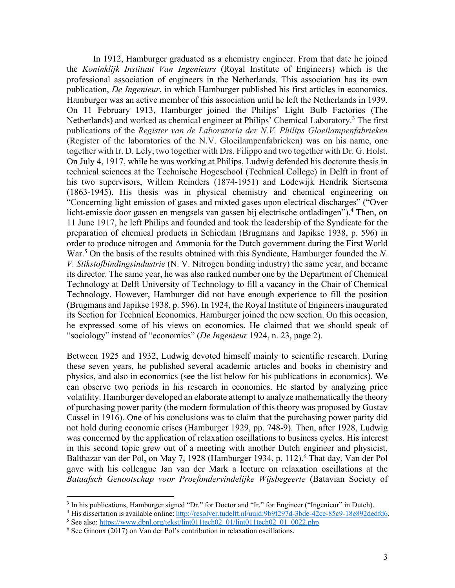In 1912, Hamburger graduated as a chemistry engineer. From that date he joined the *Koninklijk Instituut Van Ingenieurs* (Royal Institute of Engineers) which is the professional association of engineers in the Netherlands. This association has its own publication, *De Ingenieur*, in which Hamburger published his first articles in economics. Hamburger was an active member of this association until he left the Netherlands in 1939. On 11 February 1913, Hamburger joined the Philips' Light Bulb Factories (The Netherlands) and worked as chemical engineer at Philips' Chemical Laboratory.<sup>3</sup> The first publications of the *Register van de Laboratoria der N.V. Philips Gloeilampenfabrieken* (Register of the laboratories of the N.V. Gloeilampenfabrieken) was on his name, one together with Ir. D. Lely, two together with Drs. Filippo and two together with Dr. G. Holst. On July 4, 1917, while he was working at Philips, Ludwig defended his doctorate thesis in technical sciences at the Technische Hogeschool (Technical College) in Delft in front of his two supervisors, Willem Reinders (1874-1951) and Lodewijk Hendrik Siertsema (1863-1945). His thesis was in physical chemistry and chemical engineering on "Concerning light emission of gases and mixted gases upon electrical discharges" ("Over licht-emissie door gassen en mengsels van gassen bij electrische ontladingen").<sup>4</sup> Then, on 11 June 1917, he left Philips and founded and took the leadership of the Syndicate for the preparation of chemical products in Schiedam (Brugmans and Japikse 1938, p. 596) in order to produce nitrogen and Ammonia for the Dutch government during the First World War.<sup>5</sup> On the basis of the results obtained with this Syndicate, Hamburger founded the *N*. *V. Stikstofbindingsindustrie* (N. V. Nitrogen bonding industry) the same year, and became its director. The same year, he was also ranked number one by the Department of Chemical Technology at Delft University of Technology to fill a vacancy in the Chair of Chemical Technology. However, Hamburger did not have enough experience to fill the position (Brugmans and Japikse 1938, p. 596). In 1924, the Royal Institute of Engineers inaugurated its Section for Technical Economics. Hamburger joined the new section. On this occasion, he expressed some of his views on economics. He claimed that we should speak of "sociology" instead of "economics" (*De Ingenieur* 1924, n. 23, page 2).

Between 1925 and 1932, Ludwig devoted himself mainly to scientific research. During these seven years, he published several academic articles and books in chemistry and physics, and also in economics (see the list below for his publications in economics). We can observe two periods in his research in economics. He started by analyzing price volatility. Hamburger developed an elaborate attempt to analyze mathematically the theory of purchasing power parity (the modern formulation of this theory was proposed by Gustav Cassel in 1916). One of his conclusions was to claim that the purchasing power parity did not hold during economic crises (Hamburger 1929, pp. 748-9). Then, after 1928, Ludwig was concerned by the application of relaxation oscillations to business cycles. His interest in this second topic grew out of a meeting with another Dutch engineer and physicist, Balthazar van der Pol, on May 7, 1928 (Hamburger 1934, p. 112). <sup>6</sup> That day, Van der Pol gave with his colleague Jan van der Mark a lecture on relaxation oscillations at the *Bataafsch Genootschap voor Proefondervindelijke Wijsbegeerte* (Batavian Society of

 $3$  In his publications, Hamburger signed "Dr." for Doctor and "Ir." for Engineer ("Ingenieur" in Dutch).

<sup>4</sup> His dissertation is available online: http://resolver.tudelft.nl/uuid:9b9f297d-3bde-42ce-85c9-18e892dedfd6.

<sup>&</sup>lt;sup>5</sup> See also: https://www.dbnl.org/tekst/lint011tech02\_01/lint011tech02\_01\_0022.php

<sup>6</sup> See Ginoux (2017) on Van der Pol's contribution in relaxation oscillations.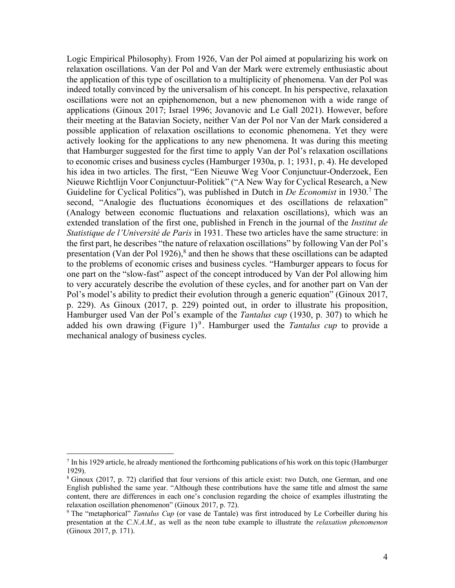Logic Empirical Philosophy). From 1926, Van der Pol aimed at popularizing his work on relaxation oscillations. Van der Pol and Van der Mark were extremely enthusiastic about the application of this type of oscillation to a multiplicity of phenomena. Van der Pol was indeed totally convinced by the universalism of his concept. In his perspective, relaxation oscillations were not an epiphenomenon, but a new phenomenon with a wide range of applications (Ginoux 2017; Israel 1996; Jovanovic and Le Gall 2021). However, before their meeting at the Batavian Society, neither Van der Pol nor Van der Mark considered a possible application of relaxation oscillations to economic phenomena. Yet they were actively looking for the applications to any new phenomena. It was during this meeting that Hamburger suggested for the first time to apply Van der Pol's relaxation oscillations to economic crises and business cycles (Hamburger 1930a, p. 1; 1931, p. 4). He developed his idea in two articles. The first, "Een Nieuwe Weg Voor Conjunctuur-Onderzoek, Een Nieuwe Richtlijn Voor Conjunctuur-Politiek" ("A New Way for Cyclical Research, a New Guideline for Cyclical Politics"), was published in Dutch in *De Economist* in 1930. <sup>7</sup> The second, "Analogie des fluctuations économiques et des oscillations de relaxation" (Analogy between economic fluctuations and relaxation oscillations), which was an extended translation of the first one, published in French in the journal of the *Institut de Statistique de l'Université de Paris* in 1931. These two articles have the same structure: in the first part, he describes "the nature of relaxation oscillations" by following Van der Pol's presentation (Van der Pol 1926), $\delta$  and then he shows that these oscillations can be adapted to the problems of economic crises and business cycles. "Hamburger appears to focus for one part on the "slow-fast" aspect of the concept introduced by Van der Pol allowing him to very accurately describe the evolution of these cycles, and for another part on Van der Pol's model's ability to predict their evolution through a generic equation" (Ginoux 2017, p. 229). As Ginoux (2017, p. 229) pointed out, in order to illustrate his proposition, Hamburger used Van der Pol's example of the *Tantalus cup* (1930, p. 307) to which he added his own drawing (Figure 1)<sup>9</sup>. Hamburger used the *Tantalus cup* to provide a mechanical analogy of business cycles.

 $^7$  In his 1929 article, he already mentioned the forthcoming publications of his work on this topic (Hamburger 1929).

<sup>8</sup> Ginoux (2017, p. 72) clarified that four versions of this article exist: two Dutch, one German, and one English published the same year. "Although these contributions have the same title and almost the same content, there are differences in each one's conclusion regarding the choice of examples illustrating the relaxation oscillation phenomenon" (Ginoux 2017, p. 72).

<sup>&</sup>lt;sup>9</sup> The "metaphorical" *Tantalus Cup* (or vase de Tantale) was first introduced by Le Corbeiller during his presentation at the *C.N.A.M.*, as well as the neon tube example to illustrate the *relaxation phenomenon* (Ginoux 2017, p. 171).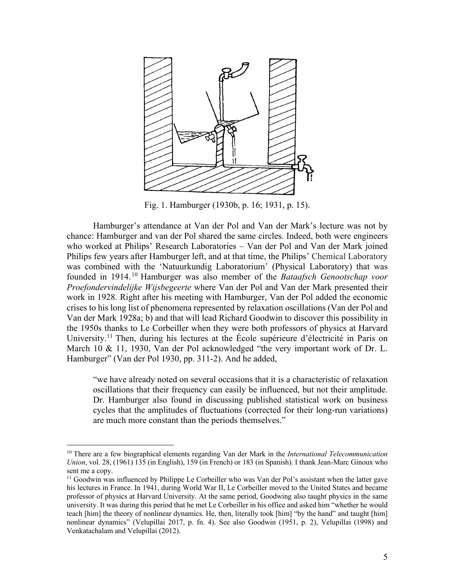

Fig. 1. Hamburger (1930b, p. 16; 1931, p. 15).

Hamburger's attendance at Van der Pol and Van der Mark's lecture was not by chance: Hamburger s attendance at van der Pol shared the same circles. Indeed, both were engineers enance. Hamburger and van der Forsnarcd the same eneres. Indeed, both were engineers<br>who worked at Philips' Research Laboratories – Van der Pol and Van der Mark joined Philips few years after Hamburger left, and at that time, the Philips' Chemical Laboratory was combined with the 'Natuurkundig Laboratorium' (Physical Laboratory) that was founded in 1914.<sup>10</sup> Hamburger was also member of the *Bataafsch Genootschap voor* Proefondervindelijke Wijsbegeerte where Van der Pol and Van der Mark presented their work in 1928. Right after his meeting with Hamburger, Van der Pol added the economic crises to his long list of phenomena represented by relaxation oscillations (Van der Pol and Van der Mark 1928a; b) and that will lead Richard Goodwin to discover this possibility in the 1950s thanks to Le Corbeiller when they were both professors of physics at Harvard University.<sup>11</sup> Then, during his lectures at the École supérieure d'électricité in Paris on March 10 & 11, 1930, Van der Pol acknowledged "the very important work of Dr. L. Hamburger" (Van der Pol 1930, pp. 311-2). And he added, de markt wegeveld  $\alpha$  en effective waard van in of uit de van in of uit of uit of uit of uit of uit of uit of uit of uit of uit of uit of uit of uit of uit of uit of uit of uit of uit of uit of uit of uit of uit of uit o

"we have already noted on several occasions that it is a characteristic of relaxation oscillations that their frequency can easily be influenced, but not their amplitude. Dr. Hamburger also found in discussing published statistical work on business cycles that the amplitudes of fluctuations (corrected for their long-run variations) are much more constant than the periods themselves."

<sup>10</sup> There are a few biographical elements regarding Van der Mark in the *International Telecommunication Union*, vol. 28, (1961) 135 (in English), 159 (in French) or 183 (in Spanish). I thank Jean-Marc Ginoux who sent me a copy.

 $<sup>11</sup>$  Goodwin was influenced by Philippe Le Corbeiller who was Van der Pol's assistant when the latter gave</sup> his lectures in France. In 1941, during World War II, Le Corbeiller moved to the United States and became professor of physics at Harvard University. At the same period, Goodwing also taught physics in the same university. It was during this period that he met Le Corbeiller in his office and asked him "whether he would teach [him] the theory of nonlinear dynamics. He, then, literally took [him] "by the hand" and taught [him] nonlinear dynamics" (Velupillai 2017, p. fn. 4). See also Goodwin (1951, p. 2), Velupillai (1998) and Venkatachalam and Velupillai (2012).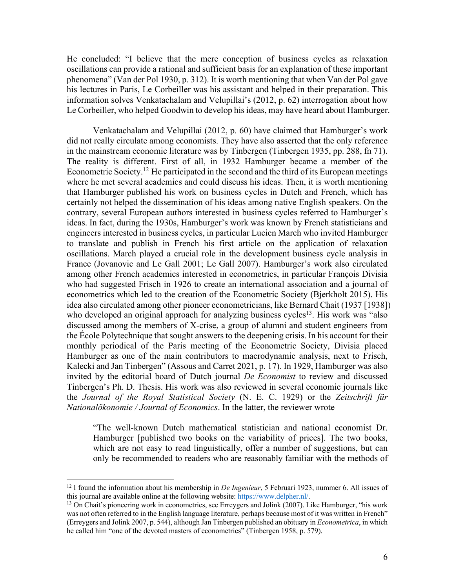He concluded: "I believe that the mere conception of business cycles as relaxation oscillations can provide a rational and sufficient basis for an explanation of these important phenomena" (Van der Pol 1930, p. 312). It is worth mentioning that when Van der Pol gave his lectures in Paris, Le Corbeiller was his assistant and helped in their preparation. This information solves Venkatachalam and Velupillai's (2012, p. 62) interrogation about how Le Corbeiller, who helped Goodwin to develop his ideas, may have heard about Hamburger.

Venkatachalam and Velupillai (2012, p. 60) have claimed that Hamburger's work did not really circulate among economists. They have also asserted that the only reference in the mainstream economic literature was by Tinbergen (Tinbergen 1935, pp. 288, fn 71). The reality is different. First of all, in 1932 Hamburger became a member of the Econometric Society.<sup>12</sup> He participated in the second and the third of its European meetings where he met several academics and could discuss his ideas. Then, it is worth mentioning that Hamburger published his work on business cycles in Dutch and French, which has certainly not helped the dissemination of his ideas among native English speakers. On the contrary, several European authors interested in business cycles referred to Hamburger's ideas. In fact, during the 1930s, Hamburger's work was known by French statisticians and engineers interested in business cycles, in particular Lucien March who invited Hamburger to translate and publish in French his first article on the application of relaxation oscillations. March played a crucial role in the development business cycle analysis in France (Jovanovic and Le Gall 2001; Le Gall 2007). Hamburger's work also circulated among other French academics interested in econometrics, in particular François Divisia who had suggested Frisch in 1926 to create an international association and a journal of econometrics which led to the creation of the Econometric Society (Bjerkholt 2015). His idea also circulated among other pioneer econometricians, like Bernard Chait (1937 [1938]) who developed an original approach for analyzing business cycles<sup>13</sup>. His work was "also discussed among the members of X-crise, a group of alumni and student engineers from the École Polytechnique that sought answers to the deepening crisis. In his account for their monthly periodical of the Paris meeting of the Econometric Society, Divisia placed Hamburger as one of the main contributors to macrodynamic analysis, next to Frisch, Kalecki and Jan Tinbergen" (Assous and Carret 2021, p. 17). In 1929, Hamburger was also invited by the editorial board of Dutch journal *De Economist* to review and discussed Tinbergen's Ph. D. Thesis. His work was also reviewed in several economic journals like the *Journal of the Royal Statistical Society* (N. E. C. 1929) or the *Zeitschrift für Nationalökonomie / Journal of Economics*. In the latter, the reviewer wrote

"The well-known Dutch mathematical statistician and national economist Dr. Hamburger [published two books on the variability of prices]. The two books, which are not easy to read linguistically, offer a number of suggestions, but can only be recommended to readers who are reasonably familiar with the methods of

<sup>&</sup>lt;sup>12</sup> I found the information about his membership in *De Ingenieur*, 5 Februari 1923, nummer 6. All issues of this journal are available online at the following website: https://www.delpher.nl/.

 $13$  On Chait's pioneering work in econometrics, see Erreygers and Jolink (2007). Like Hamburger, "his work was not often referred to in the English language literature, perhaps because most of it was written in French" (Erreygers and Jolink 2007, p. 544), although Jan Tinbergen published an obituary in *Econometrica*, in which he called him "one of the devoted masters of econometrics" (Tinbergen 1958, p. 579).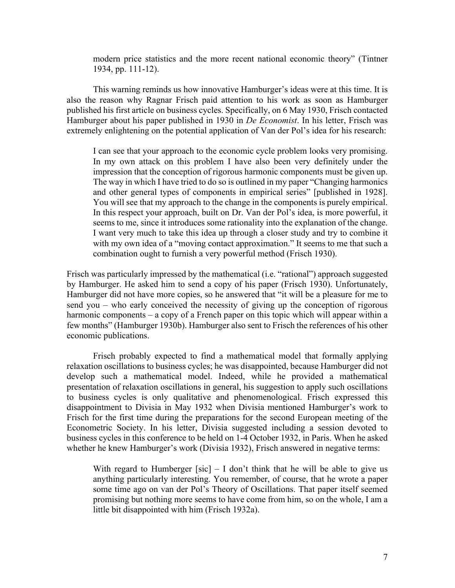modern price statistics and the more recent national economic theory" (Tintner 1934, pp. 111-12).

This warning reminds us how innovative Hamburger's ideas were at this time. It is also the reason why Ragnar Frisch paid attention to his work as soon as Hamburger published his first article on business cycles. Specifically, on 6 May 1930, Frisch contacted Hamburger about his paper published in 1930 in *De Economist*. In his letter, Frisch was extremely enlightening on the potential application of Van der Pol's idea for his research:

I can see that your approach to the economic cycle problem looks very promising. In my own attack on this problem I have also been very definitely under the impression that the conception of rigorous harmonic components must be given up. The way in which I have tried to do so is outlined in my paper "Changing harmonics and other general types of components in empirical series" [published in 1928]. You will see that my approach to the change in the components is purely empirical. In this respect your approach, built on Dr. Van der Pol's idea, is more powerful, it seems to me, since it introduces some rationality into the explanation of the change. I want very much to take this idea up through a closer study and try to combine it with my own idea of a "moving contact approximation." It seems to me that such a combination ought to furnish a very powerful method (Frisch 1930).

Frisch was particularly impressed by the mathematical (i.e. "rational") approach suggested by Hamburger. He asked him to send a copy of his paper (Frisch 1930). Unfortunately, Hamburger did not have more copies, so he answered that "it will be a pleasure for me to send you – who early conceived the necessity of giving up the conception of rigorous harmonic components – a copy of a French paper on this topic which will appear within a few months" (Hamburger 1930b). Hamburger also sent to Frisch the references of his other economic publications.

Frisch probably expected to find a mathematical model that formally applying relaxation oscillations to business cycles; he was disappointed, because Hamburger did not develop such a mathematical model. Indeed, while he provided a mathematical presentation of relaxation oscillations in general, his suggestion to apply such oscillations to business cycles is only qualitative and phenomenological. Frisch expressed this disappointment to Divisia in May 1932 when Divisia mentioned Hamburger's work to Frisch for the first time during the preparations for the second European meeting of the Econometric Society. In his letter, Divisia suggested including a session devoted to business cycles in this conference to be held on 1-4 October 1932, in Paris. When he asked whether he knew Hamburger's work (Divisia 1932), Frisch answered in negative terms:

With regard to Humberger [sic]  $- I$  don't think that he will be able to give us anything particularly interesting. You remember, of course, that he wrote a paper some time ago on van der Pol's Theory of Oscillations. That paper itself seemed promising but nothing more seems to have come from him, so on the whole, I am a little bit disappointed with him (Frisch 1932a).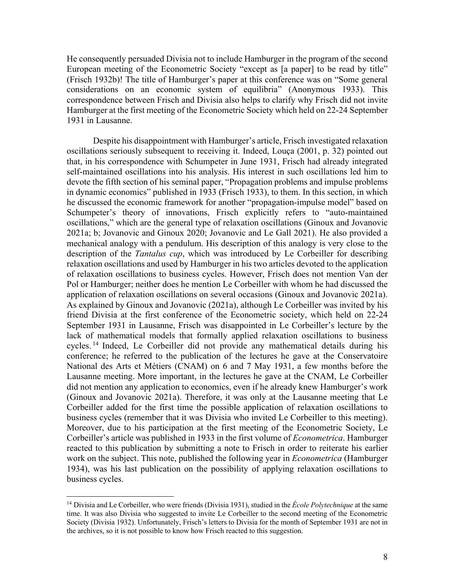He consequently persuaded Divisia not to include Hamburger in the program of the second European meeting of the Econometric Society "except as [a paper] to be read by title" (Frisch 1932b)! The title of Hamburger's paper at this conference was on "Some general considerations on an economic system of equilibria" (Anonymous 1933). This correspondence between Frisch and Divisia also helps to clarify why Frisch did not invite Hamburger at the first meeting of the Econometric Society which held on 22-24 September 1931 in Lausanne.

Despite his disappointment with Hamburger's article, Frisch investigated relaxation oscillations seriously subsequent to receiving it. Indeed, Louça (2001, p. 32) pointed out that, in his correspondence with Schumpeter in June 1931, Frisch had already integrated self-maintained oscillations into his analysis. His interest in such oscillations led him to devote the fifth section of his seminal paper, "Propagation problems and impulse problems in dynamic economics" published in 1933 (Frisch 1933), to them. In this section, in which he discussed the economic framework for another "propagation-impulse model" based on Schumpeter's theory of innovations, Frisch explicitly refers to "auto-maintained oscillations," which are the general type of relaxation oscillations (Ginoux and Jovanovic 2021a; b; Jovanovic and Ginoux 2020; Jovanovic and Le Gall 2021). He also provided a mechanical analogy with a pendulum. His description of this analogy is very close to the description of the *Tantalus cup*, which was introduced by Le Corbeiller for describing relaxation oscillations and used by Hamburger in his two articles devoted to the application of relaxation oscillations to business cycles. However, Frisch does not mention Van der Pol or Hamburger; neither does he mention Le Corbeiller with whom he had discussed the application of relaxation oscillations on several occasions (Ginoux and Jovanovic 2021a). As explained by Ginoux and Jovanovic (2021a), although Le Corbeiller was invited by his friend Divisia at the first conference of the Econometric society, which held on 22-24 September 1931 in Lausanne, Frisch was disappointed in Le Corbeiller's lecture by the lack of mathematical models that formally applied relaxation oscillations to business cycles. <sup>14</sup> Indeed, Le Corbeiller did not provide any mathematical details during his conference; he referred to the publication of the lectures he gave at the Conservatoire National des Arts et Métiers (CNAM) on 6 and 7 May 1931, a few months before the Lausanne meeting. More important, in the lectures he gave at the CNAM, Le Corbeiller did not mention any application to economics, even if he already knew Hamburger's work (Ginoux and Jovanovic 2021a). Therefore, it was only at the Lausanne meeting that Le Corbeiller added for the first time the possible application of relaxation oscillations to business cycles (remember that it was Divisia who invited Le Corbeiller to this meeting). Moreover, due to his participation at the first meeting of the Econometric Society, Le Corbeiller's article was published in 1933 in the first volume of *Econometrica*. Hamburger reacted to this publication by submitting a note to Frisch in order to reiterate his earlier work on the subject. This note, published the following year in *Econometrica* (Hamburger 1934), was his last publication on the possibility of applying relaxation oscillations to business cycles.

<sup>&</sup>lt;sup>14</sup> Divisia and Le Corbeiller, who were friends (Divisia 1931), studied in the École Polytechnique at the same time. It was also Divisia who suggested to invite Le Corbeiller to the second meeting of the Econometric Society (Divisia 1932). Unfortunately, Frisch's letters to Divisia for the month of September 1931 are not in the archives, so it is not possible to know how Frisch reacted to this suggestion.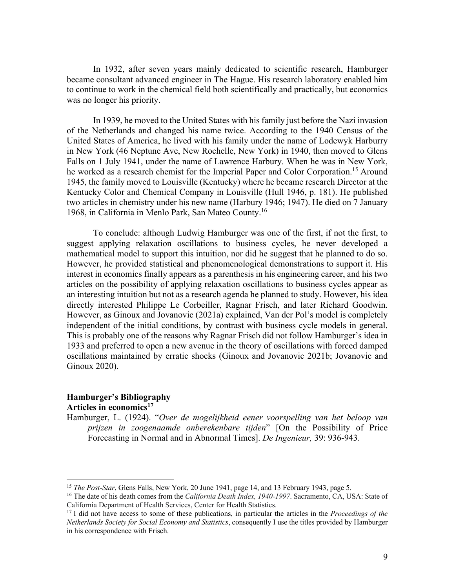In 1932, after seven years mainly dedicated to scientific research, Hamburger became consultant advanced engineer in The Hague. His research laboratory enabled him to continue to work in the chemical field both scientifically and practically, but economics was no longer his priority.

In 1939, he moved to the United States with his family just before the Nazi invasion of the Netherlands and changed his name twice. According to the 1940 Census of the United States of America, he lived with his family under the name of Lodewyk Harburry in New York (46 Neptune Ave, New Rochelle, New York) in 1940, then moved to Glens Falls on 1 July 1941, under the name of Lawrence Harbury. When he was in New York, he worked as a research chemist for the Imperial Paper and Color Corporation.<sup>15</sup> Around 1945, the family moved to Louisville (Kentucky) where he became research Director at the Kentucky Color and Chemical Company in Louisville (Hull 1946, p. 181). He published two articles in chemistry under his new name (Harbury 1946; 1947). He died on 7 January 1968, in California in Menlo Park, San Mateo County. 16

To conclude: although Ludwig Hamburger was one of the first, if not the first, to suggest applying relaxation oscillations to business cycles, he never developed a mathematical model to support this intuition, nor did he suggest that he planned to do so. However, he provided statistical and phenomenological demonstrations to support it. His interest in economics finally appears as a parenthesis in his engineering career, and his two articles on the possibility of applying relaxation oscillations to business cycles appear as an interesting intuition but not as a research agenda he planned to study. However, his idea directly interested Philippe Le Corbeiller, Ragnar Frisch, and later Richard Goodwin. However, as Ginoux and Jovanovic (2021a) explained, Van der Pol's model is completely independent of the initial conditions, by contrast with business cycle models in general. This is probably one of the reasons why Ragnar Frisch did not follow Hamburger's idea in 1933 and preferred to open a new avenue in the theory of oscillations with forced damped oscillations maintained by erratic shocks (Ginoux and Jovanovic 2021b; Jovanovic and Ginoux 2020).

### **Hamburger's Bibliography**  Articles in economics<sup>17</sup>

Hamburger, L. (1924). "*Over de mogelijkheid eener voorspelling van het beloop van prijzen in zoogenaamde onberekenbare tijden*" [On the Possibility of Price Forecasting in Normal and in Abnormal Times]. *De Ingenieur,* 39: 936-943.

<sup>&</sup>lt;sup>15</sup> *The Post-Star*, Glens Falls, New York, 20 June 1941, page 14, and 13 February 1943, page 5.

<sup>16</sup> The date of his death comes from the *California Death Index, 1940-1997*. Sacramento, CA, USA: State of California Department of Health Services, Center for Health Statistics.

<sup>17</sup> I did not have access to some of these publications, in particular the articles in the *Proceedings of the Netherlands Society for Social Economy and Statistics*, consequently I use the titles provided by Hamburger in his correspondence with Frisch.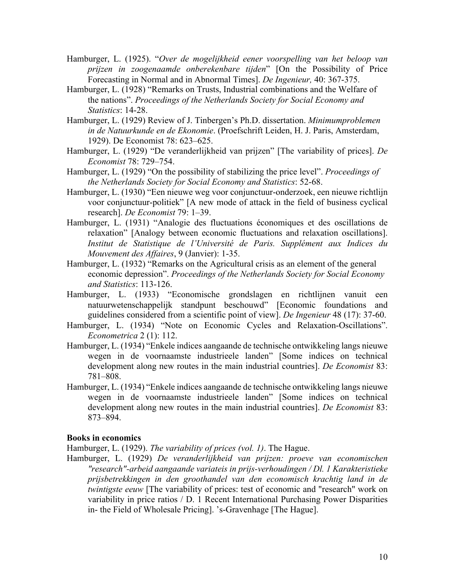- Hamburger, L. (1925). "*Over de mogelijkheid eener voorspelling van het beloop van prijzen in zoogenaamde onberekenbare tijden*" [On the Possibility of Price Forecasting in Normal and in Abnormal Times]. *De Ingenieur,* 40: 367-375.
- Hamburger, L. (1928) "Remarks on Trusts, Industrial combinations and the Welfare of the nations". *Proceedings of the Netherlands Society for Social Economy and Statistics*: 14-28.
- Hamburger, L. (1929) Review of J. Tinbergen's Ph.D. dissertation. *Minimumproblemen in de Natuurkunde en de Ekonomie*. (Proefschrift Leiden, H. J. Paris, Amsterdam, 1929). De Economist 78: 623–625.
- Hamburger, L. (1929) "De veranderlijkheid van prijzen" [The variability of prices]. *De Economist* 78: 729–754.
- Hamburger, L. (1929) "On the possibility of stabilizing the price level". *Proceedings of the Netherlands Society for Social Economy and Statistics*: 52-68.
- Hamburger, L. (1930) "Een nieuwe weg voor conjunctuur-onderzoek, een nieuwe richtlijn voor conjunctuur-politiek" [A new mode of attack in the field of business cyclical research]. *De Economist* 79: 1–39.
- Hamburger, L. (1931) "Analogie des fluctuations économiques et des oscillations de relaxation" [Analogy between economic fluctuations and relaxation oscillations]. *Institut de Statistique de l'Université de Paris. Supplément aux Indices du Mouvement des Affaires*, 9 (Janvier): 1-35.
- Hamburger, L. (1932) "Remarks on the Agricultural crisis as an element of the general economic depression". *Proceedings of the Netherlands Society for Social Economy and Statistics*: 113-126.
- Hamburger, L. (1933) "Economische grondslagen en richtlijnen vanuit een natuurwetenschappelijk standpunt beschouwd" [Economic foundations and guidelines considered from a scientific point of view]. *De Ingenieur* 48 (17): 37-60.
- Hamburger, L. (1934) "Note on Economic Cycles and Relaxation-Oscillations". *Econometrica* 2 (1): 112.
- Hamburger, L. (1934) "Enkele indices aangaande de technische ontwikkeling langs nieuwe wegen in de voornaamste industrieele landen" [Some indices on technical development along new routes in the main industrial countries]. *De Economist* 83: 781–808.
- Hamburger, L. (1934) "Enkele indices aangaande de technische ontwikkeling langs nieuwe wegen in de voornaamste industrieele landen" [Some indices on technical development along new routes in the main industrial countries]. *De Economist* 83: 873–894.

#### **Books in economics**

Hamburger, L. (1929). *The variability of prices (vol. 1)*. The Hague.

Hamburger, L. (1929) *De veranderlijkheid van prijzen: proeve van economischen "research"-arbeid aangaande variateis in prijs-verhoudingen / Dl. 1 Karakteristieke prijsbetrekkingen in den groothandel van den economisch krachtig land in de twintigste eeuw* [The variability of prices: test of economic and "research" work on variability in price ratios / D. 1 Recent International Purchasing Power Disparities in- the Field of Wholesale Pricing]. 's-Gravenhage [The Hague].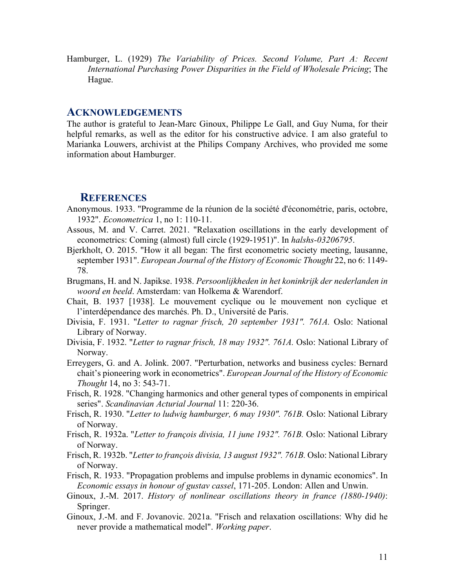Hamburger, L. (1929) *The Variability of Prices. Second Volume, Part A: Recent International Purchasing Power Disparities in the Field of Wholesale Pricing*; The Hague.

### **ACKNOWLEDGEMENTS**

The author is grateful to Jean-Marc Ginoux, Philippe Le Gall, and Guy Numa, for their helpful remarks, as well as the editor for his constructive advice. I am also grateful to Marianka Louwers, archivist at the Philips Company Archives, who provided me some information about Hamburger.

#### **REFERENCES**

- Anonymous. 1933. "Programme de la réunion de la société d'économétrie, paris, octobre, 1932". *Econometrica* 1, no 1: 110-11.
- Assous, M. and V. Carret. 2021. "Relaxation oscillations in the early development of econometrics: Coming (almost) full circle (1929-1951)". In *halshs-03206795*.
- Bjerkholt, O. 2015. "How it all began: The first econometric society meeting, lausanne, september 1931". *European Journal of the History of Economic Thought* 22, no 6: 1149- 78.
- Brugmans, H. and N. Japikse. 1938. *Persoonlijkheden in het koninkrijk der nederlanden in woord en beeld*. Amsterdam: van Holkema & Warendorf.
- Chait, B. 1937 [1938]. Le mouvement cyclique ou le mouvement non cyclique et l'interdépendance des marchés. Ph. D., Université de Paris.
- Divisia, F. 1931. "*Letter to ragnar frisch, 20 september 1931". 761A.* Oslo: National Library of Norway.
- Divisia, F. 1932. "*Letter to ragnar frisch, 18 may 1932". 761A.* Oslo: National Library of Norway.
- Erreygers, G. and A. Jolink. 2007. "Perturbation, networks and business cycles: Bernard chait's pioneering work in econometrics". *European Journal of the History of Economic Thought* 14, no 3: 543-71.
- Frisch, R. 1928. "Changing harmonics and other general types of components in empirical series". *Scandinavian Acturial Journal* 11: 220-36.
- Frisch, R. 1930. "*Letter to ludwig hamburger, 6 may 1930". 761B.* Oslo: National Library of Norway.
- Frisch, R. 1932a. "*Letter to françois divisia, 11 june 1932". 761B.* Oslo: National Library of Norway.
- Frisch, R. 1932b. "*Letter to françois divisia, 13 august 1932". 761B.* Oslo: National Library of Norway.
- Frisch, R. 1933. "Propagation problems and impulse problems in dynamic economics". In *Economic essays in honour of gustav cassel*, 171-205. London: Allen and Unwin.
- Ginoux, J.-M. 2017. *History of nonlinear oscillations theory in france (1880-1940)*: Springer.
- Ginoux, J.-M. and F. Jovanovic. 2021a. "Frisch and relaxation oscillations: Why did he never provide a mathematical model". *Working paper*.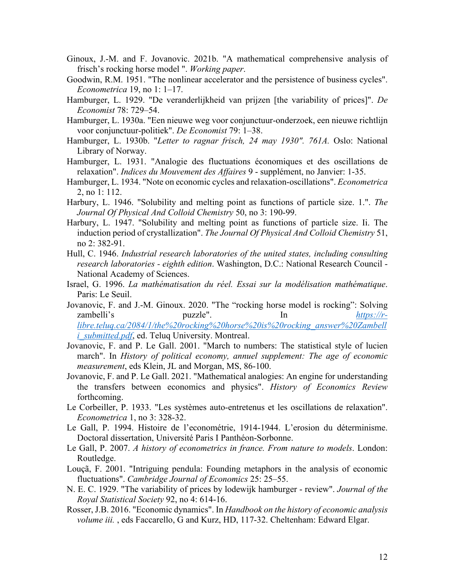- Ginoux, J.-M. and F. Jovanovic. 2021b. "A mathematical comprehensive analysis of frisch's rocking horse model ". *Working paper*.
- Goodwin, R.M. 1951. "The nonlinear accelerator and the persistence of business cycles". *Econometrica* 19, no 1: 1–17.
- Hamburger, L. 1929. "De veranderlijkheid van prijzen [the variability of prices]". *De Economist* 78: 729–54.
- Hamburger, L. 1930a. "Een nieuwe weg voor conjunctuur-onderzoek, een nieuwe richtlijn voor conjunctuur-politiek". *De Economist* 79: 1–38.
- Hamburger, L. 1930b. "*Letter to ragnar frisch, 24 may 1930". 761A.* Oslo: National Library of Norway.
- Hamburger, L. 1931. "Analogie des fluctuations économiques et des oscillations de relaxation". *Indices du Mouvement des Affaires* 9 - supplément, no Janvier: 1-35.
- Hamburger, L. 1934. "Note on economic cycles and relaxation-oscillations". *Econometrica* 2, no 1: 112.
- Harbury, L. 1946. "Solubility and melting point as functions of particle size. 1.". *The Journal Of Physical And Colloid Chemistry* 50, no 3: 190-99.
- Harbury, L. 1947. "Solubility and melting point as functions of particle size. Ii. The induction period of crystallization". *The Journal Of Physical And Colloid Chemistry* 51, no 2: 382-91.
- Hull, C. 1946. *Industrial research laboratories of the united states, including consulting research laboratories - eighth edition*. Washington, D.C.: National Research Council - National Academy of Sciences.
- Israel, G. 1996. *La mathématisation du réel. Essai sur la modélisation mathématique*. Paris: Le Seuil.
- Jovanovic, F. and J.-M. Ginoux. 2020. "The "rocking horse model is rocking": Solving zambelli's puzzle". In *https://rlibre.teluq.ca/2084/1/the%20rocking%20horse%20is%20rocking\_answer%20Zambell i\_submitted.pdf*, ed. Teluq University. Montreal.
- Jovanovic, F. and P. Le Gall. 2001. "March to numbers: The statistical style of lucien march". In *History of political economy, annuel supplement: The age of economic measurement*, eds Klein, JL and Morgan, MS, 86-100.
- Jovanovic, F. and P. Le Gall. 2021. "Mathematical analogies: An engine for understanding the transfers between economics and physics". *History of Economics Review* forthcoming.
- Le Corbeiller, P. 1933. "Les systèmes auto-entretenus et les oscillations de relaxation". *Econometrica* 1, no 3: 328-32.
- Le Gall, P. 1994. Histoire de l'econométrie, 1914-1944. L'erosion du déterminisme. Doctoral dissertation, Université Paris I Panthéon-Sorbonne.
- Le Gall, P. 2007. *A history of econometrics in france. From nature to models*. London: Routledge.
- Louçã, F. 2001. "Intriguing pendula: Founding metaphors in the analysis of economic fluctuations". *Cambridge Journal of Economics* 25: 25–55.
- N. E. C. 1929. "The variability of prices by lodewijk hamburger review". *Journal of the Royal Statistical Society* 92, no 4: 614-16.
- Rosser, J.B. 2016. "Economic dynamics". In *Handbook on the history of economic analysis volume iii.* , eds Faccarello, G and Kurz, HD, 117-32. Cheltenham: Edward Elgar.